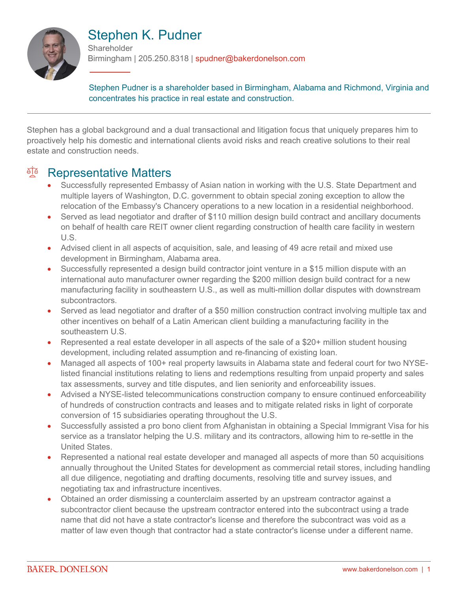

# Stephen K. Pudner

**Shareholder** Birmingham | 205.250.8318 | spudner@bakerdonelson.com

Stephen Pudner is a shareholder based in Birmingham, Alabama and Richmond, Virginia and concentrates his practice in real estate and construction.

Stephen has a global background and a dual transactional and litigation focus that uniquely prepares him to proactively help his domestic and international clients avoid risks and reach creative solutions to their real estate and construction needs.

### <sup>en</sup> Representative Matters

- Successfully represented Embassy of Asian nation in working with the U.S. State Department and multiple layers of Washington, D.C. government to obtain special zoning exception to allow the relocation of the Embassy's Chancery operations to a new location in a residential neighborhood.
- Served as lead negotiator and drafter of \$110 million design build contract and ancillary documents on behalf of health care REIT owner client regarding construction of health care facility in western U.S.
- Advised client in all aspects of acquisition, sale, and leasing of 49 acre retail and mixed use development in Birmingham, Alabama area.
- Successfully represented a design build contractor joint venture in a \$15 million dispute with an international auto manufacturer owner regarding the \$200 million design build contract for a new manufacturing facility in southeastern U.S., as well as multi-million dollar disputes with downstream subcontractors.
- Served as lead negotiator and drafter of a \$50 million construction contract involving multiple tax and other incentives on behalf of a Latin American client building a manufacturing facility in the southeastern U.S.
- Represented a real estate developer in all aspects of the sale of a \$20+ million student housing development, including related assumption and re-financing of existing loan.
- Managed all aspects of 100+ real property lawsuits in Alabama state and federal court for two NYSElisted financial institutions relating to liens and redemptions resulting from unpaid property and sales tax assessments, survey and title disputes, and lien seniority and enforceability issues.
- Advised a NYSE-listed telecommunications construction company to ensure continued enforceability of hundreds of construction contracts and leases and to mitigate related risks in light of corporate conversion of 15 subsidiaries operating throughout the U.S.
- Successfully assisted a pro bono client from Afghanistan in obtaining a Special Immigrant Visa for his service as a translator helping the U.S. military and its contractors, allowing him to re-settle in the United States.
- Represented a national real estate developer and managed all aspects of more than 50 acquisitions annually throughout the United States for development as commercial retail stores, including handling all due diligence, negotiating and drafting documents, resolving title and survey issues, and negotiating tax and infrastructure incentives.
- Obtained an order dismissing a counterclaim asserted by an upstream contractor against a subcontractor client because the upstream contractor entered into the subcontract using a trade name that did not have a state contractor's license and therefore the subcontract was void as a matter of law even though that contractor had a state contractor's license under a different name.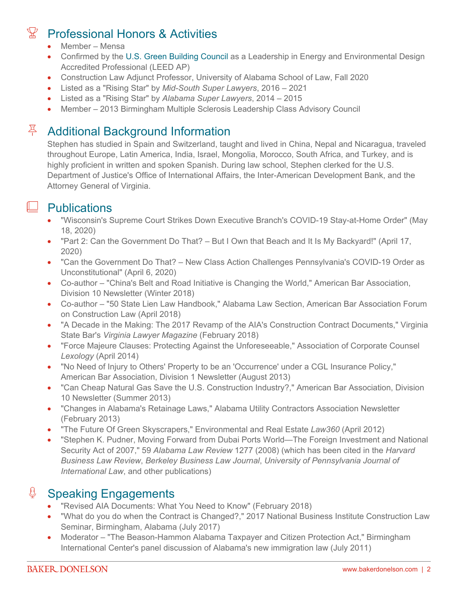## Professional Honors & Activities

- Member Mensa
- Confirmed by the [U.S. Green Building Council](http://www.usgbc.org/) as a Leadership in Energy and Environmental Design Accredited Professional (LEED AP)
- Construction Law Adjunct Professor, University of Alabama School of Law, Fall 2020
- Listed as a "Rising Star" by *Mid-South Super Lawyers*, 2016 2021
- Listed as a "Rising Star" by *Alabama Super Lawyers*, 2014 2015
- Member 2013 Birmingham Multiple Sclerosis Leadership Class Advisory Council

# Additional Background Information

Stephen has studied in Spain and Switzerland, taught and lived in China, Nepal and Nicaragua, traveled throughout Europe, Latin America, India, Israel, Mongolia, Morocco, South Africa, and Turkey, and is highly proficient in written and spoken Spanish. During law school, Stephen clerked for the U.S. Department of Justice's Office of International Affairs, the Inter-American Development Bank, and the Attorney General of Virginia.

### $\perp$  Publications

- "Wisconsin's Supreme Court Strikes Down Executive Branch's COVID-19 Stay-at-Home Order" (May 18, 2020)
- "Part 2: Can the Government Do That? But I Own that Beach and It Is My Backyard!" (April 17, 2020)
- "Can the Government Do That? New Class Action Challenges Pennsylvania's COVID-19 Order as Unconstitutional" (April 6, 2020)
- Co-author "China's Belt and Road Initiative is Changing the World," American Bar Association, Division 10 Newsletter (Winter 2018)
- Co-author "50 State Lien Law Handbook," Alabama Law Section, American Bar Association Forum on Construction Law (April 2018)
- "A Decade in the Making: The 2017 Revamp of the AIA's Construction Contract Documents," Virginia State Bar's *Virginia Lawyer Magazine* (February 2018)
- "Force Majeure Clauses: Protecting Against the Unforeseeable," Association of Corporate Counsel *Lexology* (April 2014)
- "No Need of Injury to Others' Property to be an 'Occurrence' under a CGL Insurance Policy," American Bar Association, Division 1 Newsletter (August 2013)
- "Can Cheap Natural Gas Save the U.S. Construction Industry?," American Bar Association, Division 10 Newsletter (Summer 2013)
- "Changes in Alabama's Retainage Laws," Alabama Utility Contractors Association Newsletter (February 2013)
- "The Future Of Green Skyscrapers," Environmental and Real Estate *Law360* (April 2012)
- "Stephen K. Pudner, Moving Forward from Dubai Ports World—The Foreign Investment and National Security Act of 2007," 59 *Alabama Law Review* 1277 (2008) (which has been cited in the *Harvard Business Law Review*, *Berkeley Business Law Journal*, *University of Pennsylvania Journal of International Law*, and other publications)

#### **<u>U</u>** Speaking Engagements

- "Revised AIA Documents: What You Need to Know" (February 2018)
- "What do you do when the Contract is Changed?," 2017 National Business Institute Construction Law Seminar, Birmingham, Alabama (July 2017)
- Moderator "The Beason-Hammon Alabama Taxpayer and Citizen Protection Act," Birmingham International Center's panel discussion of Alabama's new immigration law (July 2011)